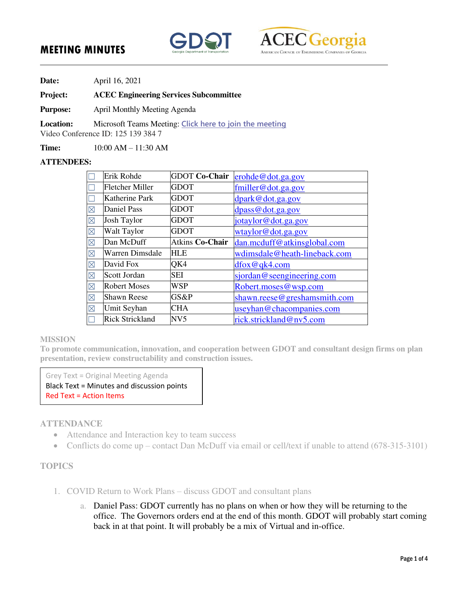# **MEETING MINUTES**





**Date:** April 16, 2021

#### **Project: ACEC Engineering Services Subcommittee**

**Purpose:** April Monthly Meeting Agenda

**Location:** Microsoft Teams Meeting: **[Click here to join the meeting](https://teams.microsoft.com/l/meetup-join/19%3ameeting_NWFkZWRhYzEtZDEwNS00MTVmLWI5NTItZjRlOTVmM2FlY2Yx%40thread.v2/0?context=%7b%22Tid%22%3a%2287d70b0f-5efc-4991-a065-e205bc3db308%22%2c%22Oid%22%3a%22b2d10f83-7321-4817-ae0e-1344b3a75a0b%22%7d)**

Video Conference ID: 125 139 384 7

**Time:** 10:00 AM – 11:30 AM

#### **ATTENDEES:**

|             | Erik Rohde             | <b>GDOT Co-Chair</b>   | erohde@dot.ga.gov            |
|-------------|------------------------|------------------------|------------------------------|
|             | <b>Fletcher Miller</b> | <b>GDOT</b>            | $f$ miller@dot.ga.gov        |
|             | Katherine Park         | <b>GDOT</b>            | dpark@dot.ga.gov             |
| $\boxtimes$ | <b>Daniel Pass</b>     | <b>GDOT</b>            | dpass@dot.ga.gov             |
| $\boxtimes$ | <b>Josh Taylor</b>     | <b>GDOT</b>            | jotaylor@dot.ga.gov          |
| $\boxtimes$ | Walt Taylor            | <b>GDOT</b>            | wtaylor@dot.ga.gov           |
| $\boxtimes$ | Dan McDuff             | <b>Atkins Co-Chair</b> | dan.mcduff@atkinsglobal.com  |
| $\boxtimes$ | Warren Dimsdale        | <b>HLE</b>             | wdimsdale@heath-lineback.com |
| $\boxtimes$ | David Fox              | QK4                    | $d$ fox@qk4.com              |
| $\boxtimes$ | Scott Jordan           | <b>SEI</b>             | sjordan@seengineering.com    |
| $\boxtimes$ | <b>Robert Moses</b>    | WSP                    | Robert.moses@wsp.com         |
| $\boxtimes$ | <b>Shawn Reese</b>     | GS&P                   | shawn.reese@greshamsmith.com |
| $\boxtimes$ | Umit Seyhan            | <b>CHA</b>             | useyhan@chacompanies.com     |
|             | <b>Rick Strickland</b> | NV5                    | rick.strickland@nv5.com      |

#### **MISSION**

**To promote communication, innovation, and cooperation between GDOT and consultant design firms on plan presentation, review constructability and construction issues.** 

Grey Text = Original Meeting Agenda

Black Text = Minutes and discussion points Red Text = Action Items

### **ATTENDANCE**

- Attendance and Interaction key to team success
- Conflicts do come up contact Dan McDuff via email or cell/text if unable to attend (678-315-3101)

### **TOPICS**

- 1. COVID Return to Work Plans discuss GDOT and consultant plans
	- a. Daniel Pass: GDOT currently has no plans on when or how they will be returning to the office. The Governors orders end at the end of this month. GDOT will probably start coming back in at that point. It will probably be a mix of Virtual and in-office.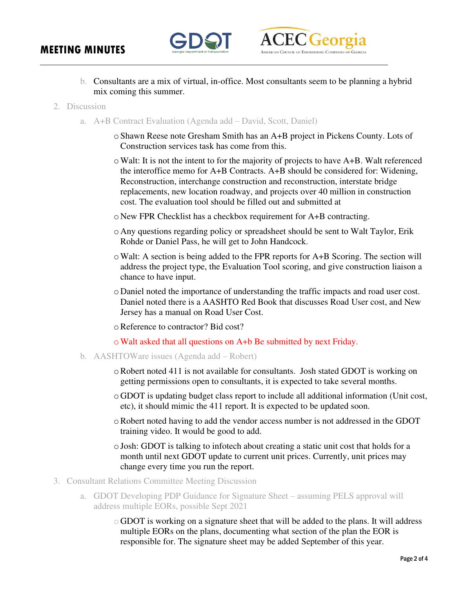

- b. Consultants are a mix of virtual, in-office. Most consultants seem to be planning a hybrid mix coming this summer.
- 2. Discussion
	- a. A+B Contract Evaluation (Agenda add David, Scott, Daniel)
		- oShawn Reese note Gresham Smith has an A+B project in Pickens County. Lots of Construction services task has come from this.
		- oWalt: It is not the intent to for the majority of projects to have A+B. Walt referenced the interoffice memo for A+B Contracts. A+B should be considered for: Widening, Reconstruction, interchange construction and reconstruction, interstate bridge replacements, new location roadway, and projects over 40 million in construction cost. The evaluation tool should be filled out and submitted at
		- o New FPR Checklist has a checkbox requirement for A+B contracting.
		- o Any questions regarding policy or spreadsheet should be sent to Walt Taylor, Erik Rohde or Daniel Pass, he will get to John Handcock.
		- oWalt: A section is being added to the FPR reports for A+B Scoring. The section will address the project type, the Evaluation Tool scoring, and give construction liaison a chance to have input.
		- o Daniel noted the importance of understanding the traffic impacts and road user cost. Daniel noted there is a AASHTO Red Book that discusses Road User cost, and New Jersey has a manual on Road User Cost.
		- oReference to contractor? Bid cost?
		- oWalt asked that all questions on A+b Be submitted by next Friday.
	- b. AASHTOWare issues (Agenda add Robert)
		- oRobert noted 411 is not available for consultants. Josh stated GDOT is working on getting permissions open to consultants, it is expected to take several months.
		- o GDOT is updating budget class report to include all additional information (Unit cost, etc), it should mimic the 411 report. It is expected to be updated soon.
		- oRobert noted having to add the vendor access number is not addressed in the GDOT training video. It would be good to add.
		- $\circ$  Josh: GDOT is talking to infotech about creating a static unit cost that holds for a month until next GDOT update to current unit prices. Currently, unit prices may change every time you run the report.
- 3. Consultant Relations Committee Meeting Discussion
	- a. GDOT Developing PDP Guidance for Signature Sheet assuming PELS approval will address multiple EORs, possible Sept 2021
		- o GDOT is working on a signature sheet that will be added to the plans. It will address multiple EORs on the plans, documenting what section of the plan the EOR is responsible for. The signature sheet may be added September of this year.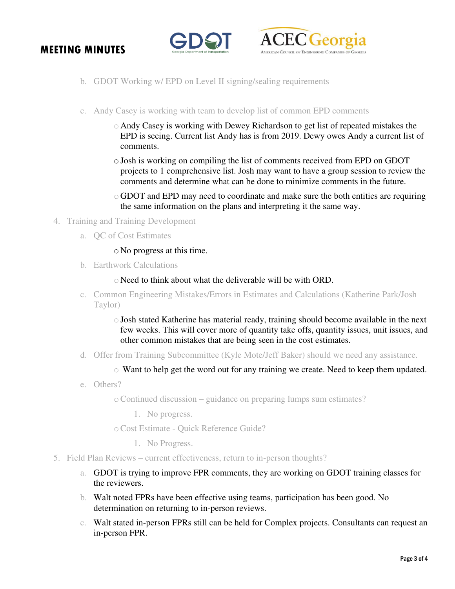

- b. GDOT Working w/ EPD on Level II signing/sealing requirements
- c. Andy Casey is working with team to develop list of common EPD comments
	- o Andy Casey is working with Dewey Richardson to get list of repeated mistakes the EPD is seeing. Current list Andy has is from 2019. Dewy owes Andy a current list of comments.
	- oJosh is working on compiling the list of comments received from EPD on GDOT projects to 1 comprehensive list. Josh may want to have a group session to review the comments and determine what can be done to minimize comments in the future.
	- o GDOT and EPD may need to coordinate and make sure the both entities are requiring the same information on the plans and interpreting it the same way.
- 4. Training and Training Development
	- a. QC of Cost Estimates

### o No progress at this time.

b. Earthwork Calculations

o Need to think about what the deliverable will be with ORD.

- c. Common Engineering Mistakes/Errors in Estimates and Calculations (Katherine Park/Josh Taylor)
	- $\circ$  Josh stated Katherine has material ready, training should become available in the next few weeks. This will cover more of quantity take offs, quantity issues, unit issues, and other common mistakes that are being seen in the cost estimates.
- d. Offer from Training Subcommittee (Kyle Mote/Jeff Baker) should we need any assistance.
	- o Want to help get the word out for any training we create. Need to keep them updated.
- e. Others?

oContinued discussion – guidance on preparing lumps sum estimates?

1. No progress.

oCost Estimate - Quick Reference Guide?

- 1. No Progress.
- 5. Field Plan Reviews current effectiveness, return to in-person thoughts?
	- a. GDOT is trying to improve FPR comments, they are working on GDOT training classes for the reviewers.
	- b. Walt noted FPRs have been effective using teams, participation has been good. No determination on returning to in-person reviews.
	- c. Walt stated in-person FPRs still can be held for Complex projects. Consultants can request an in-person FPR.